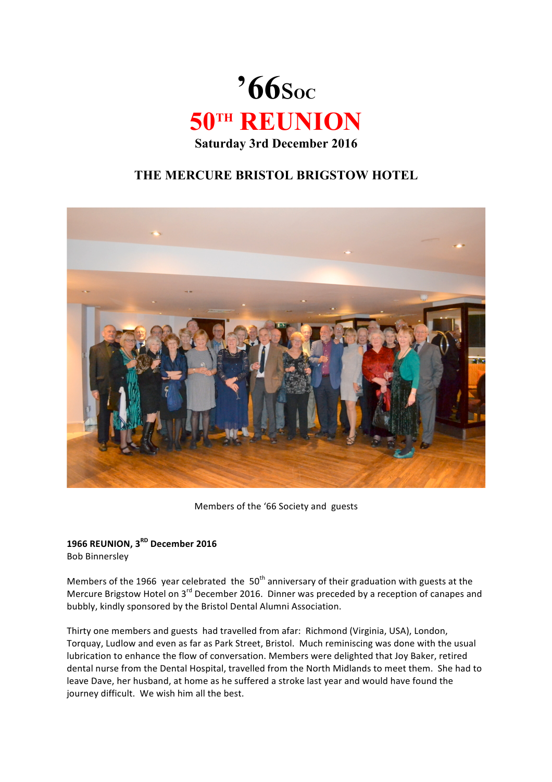

## **THE MERCURE BRISTOL BRIGSTOW HOTEL**



Members of the '66 Society and guests

## **1966 REUNION, 3RD December 2016** Bob Binnersley

Members of the 1966 year celebrated the 50<sup>th</sup> anniversary of their graduation with guests at the Mercure Brigstow Hotel on  $3^{rd}$  December 2016. Dinner was preceded by a reception of canapes and bubbly, kindly sponsored by the Bristol Dental Alumni Association.

Thirty one members and guests had travelled from afar: Richmond (Virginia, USA), London, Torquay, Ludlow and even as far as Park Street, Bristol. Much reminiscing was done with the usual lubrication to enhance the flow of conversation. Members were delighted that Joy Baker, retired dental nurse from the Dental Hospital, travelled from the North Midlands to meet them. She had to leave Dave, her husband, at home as he suffered a stroke last year and would have found the journey difficult. We wish him all the best.